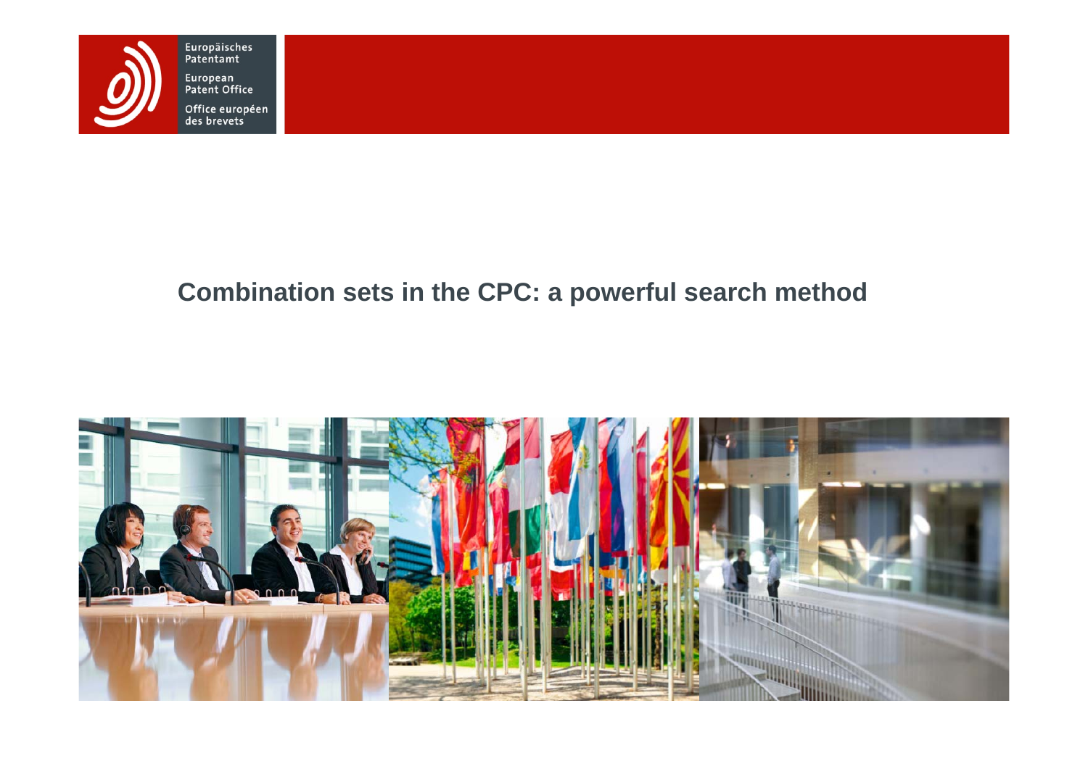

### **Combination sets in the CPC: a powerful search method**

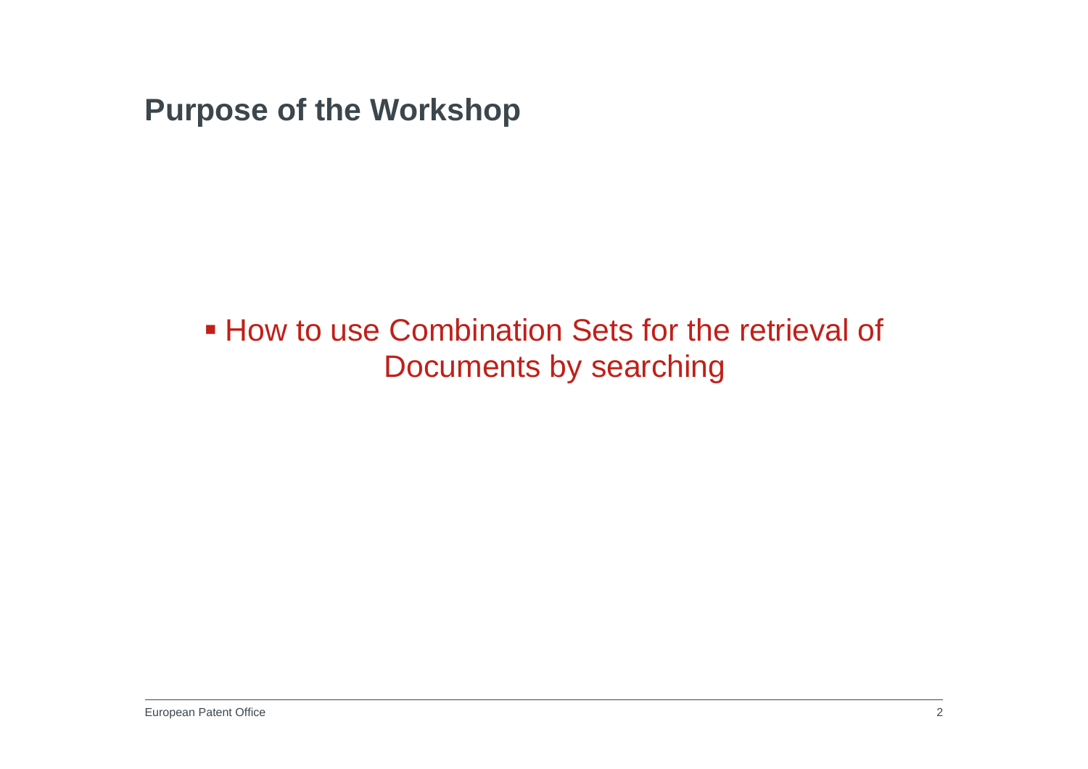**Purpose of the Workshop**

**How to use Combination Sets for the retrieval of** Documents by searching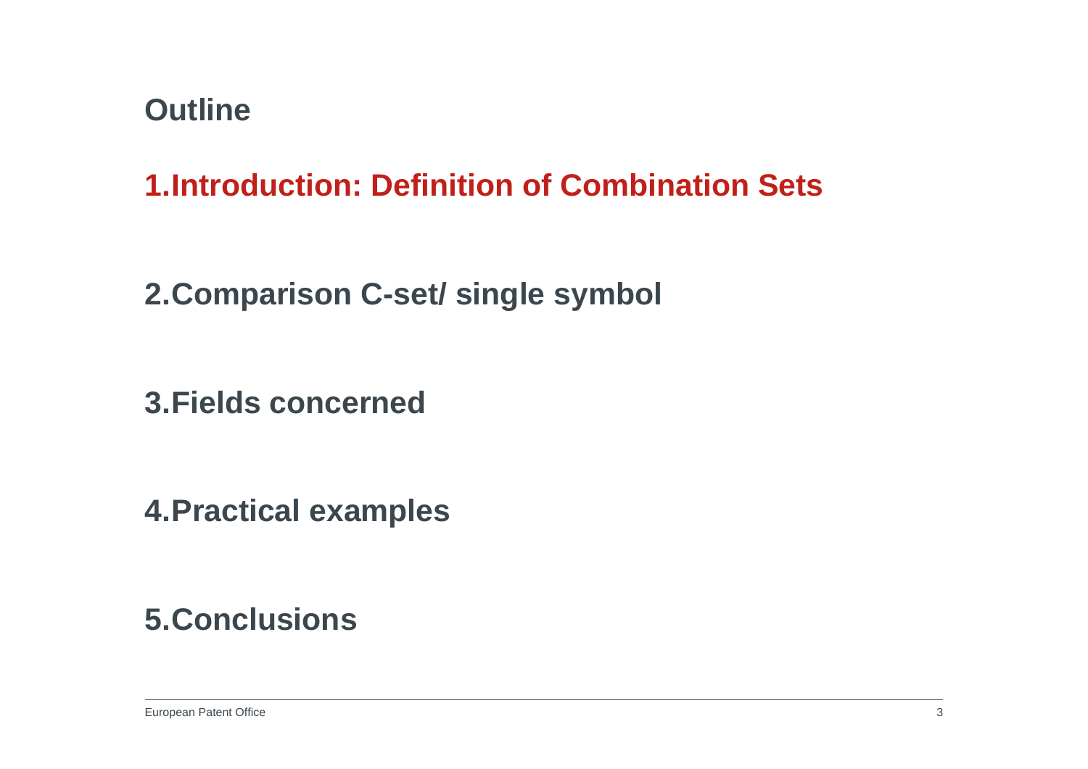**1.Introduction: Definition of Combination Sets**

**2.Comparison C-set/ single symbol**

**3.Fields concerned**

**4.Practical examples**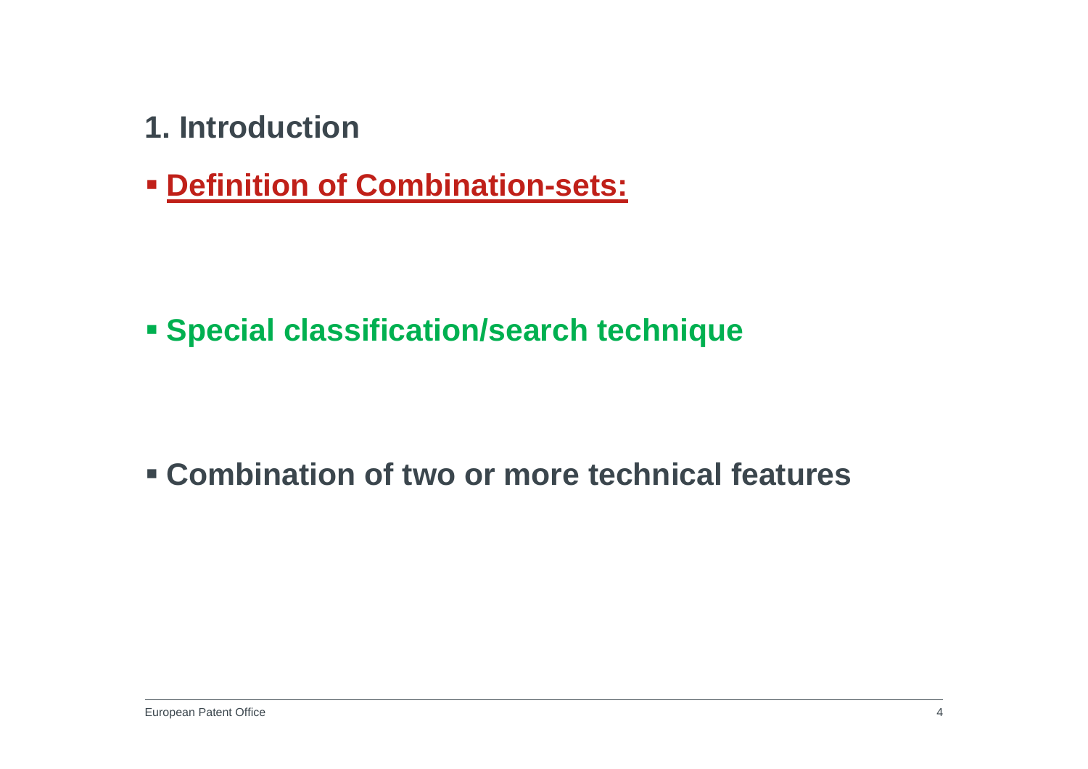- **1. Introduction**
- **Definition of Combination-sets:**

**Special classification/search technique**

**Combination of two or more technical features**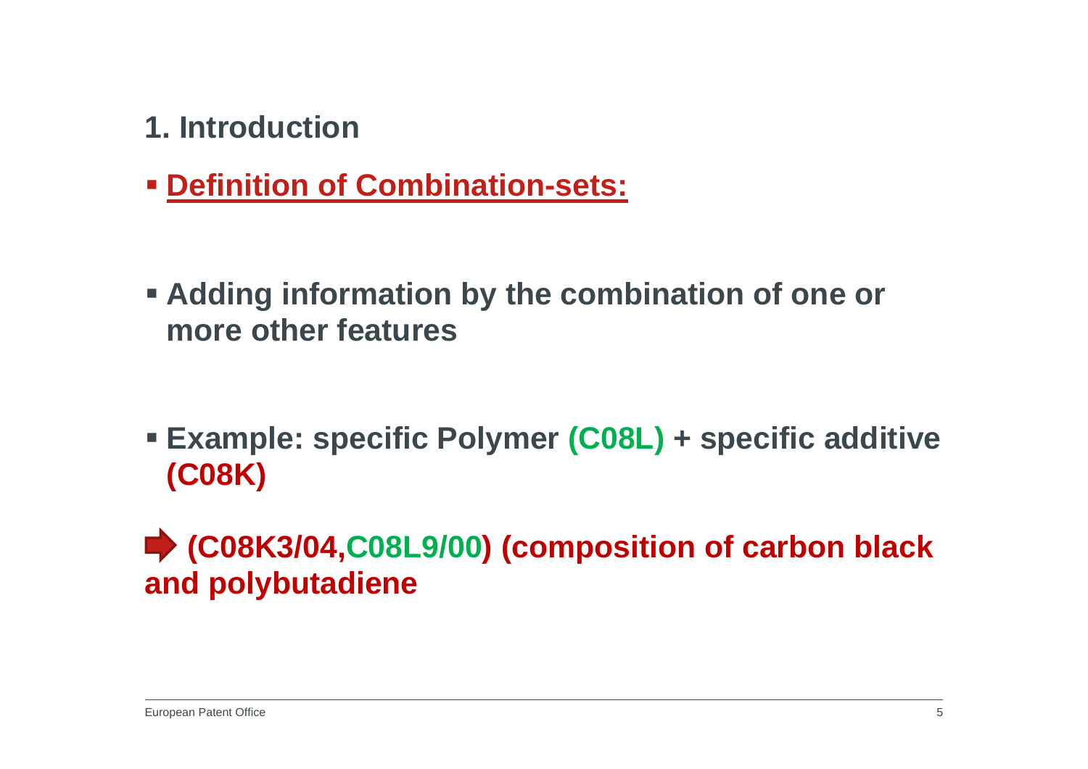- **1. Introduction**
- **Definition of Combination-sets:**
- **Adding information by the combination of one or more other features**
- **Example: specific Polymer (C08L) + specific additive (C08K)**

**(C08K3/04,C08L9/00) (composition of carbon black and polybutadiene**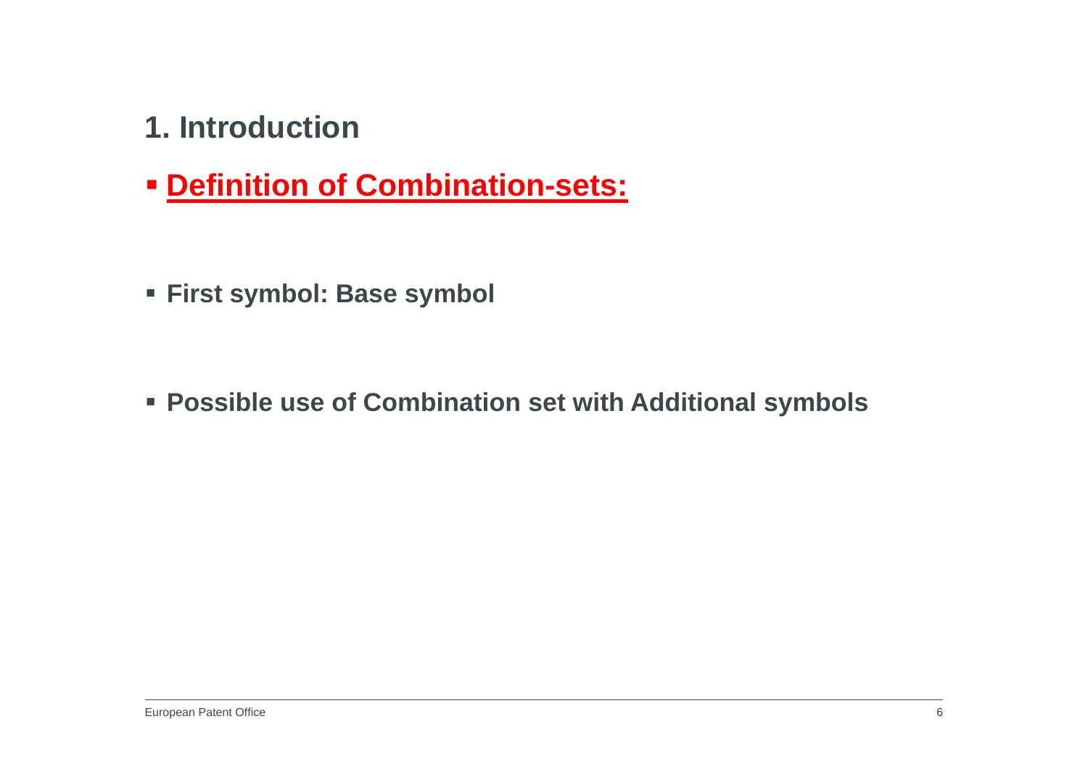- **1. Introduction**
- **Definition of Combination-sets:**
- **First symbol: Base symbol**

**Possible use of Combination set with Additional symbols**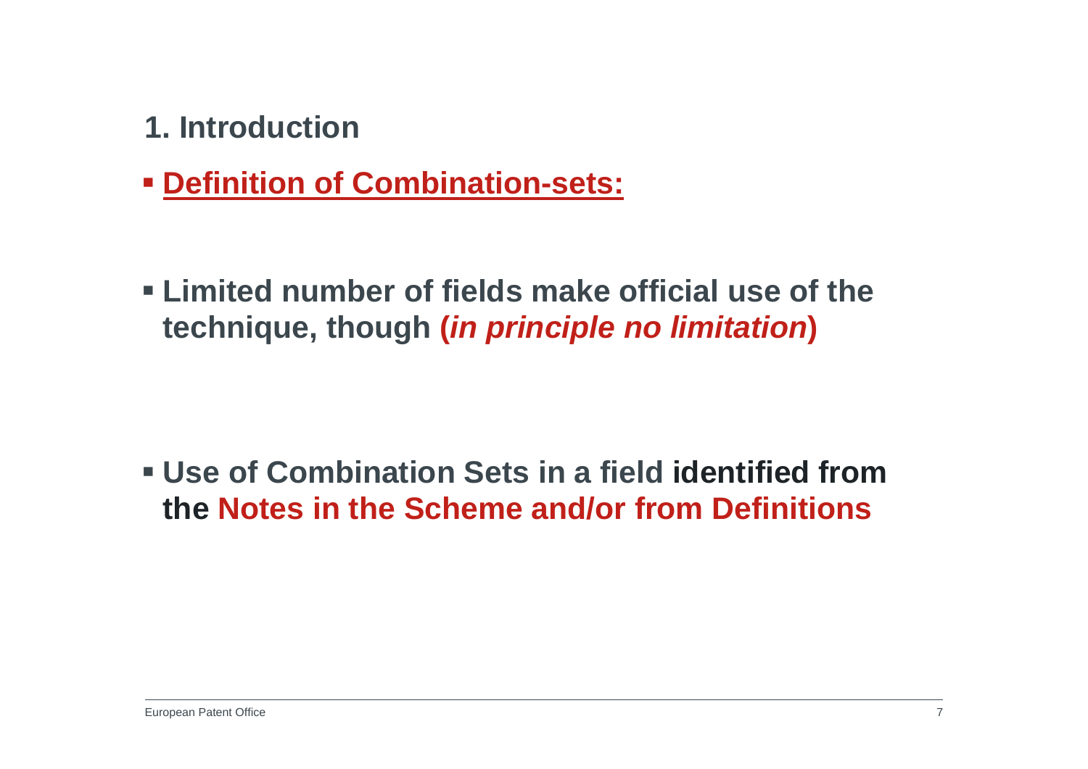- **1. Introduction**
- **Definition of Combination-sets:**
- **Limited number of fields make official use of the technique, though (***in principle no limitation***)**

 **Use of Combination Sets in a field identified from the Notes in the Scheme and/or from Definitions**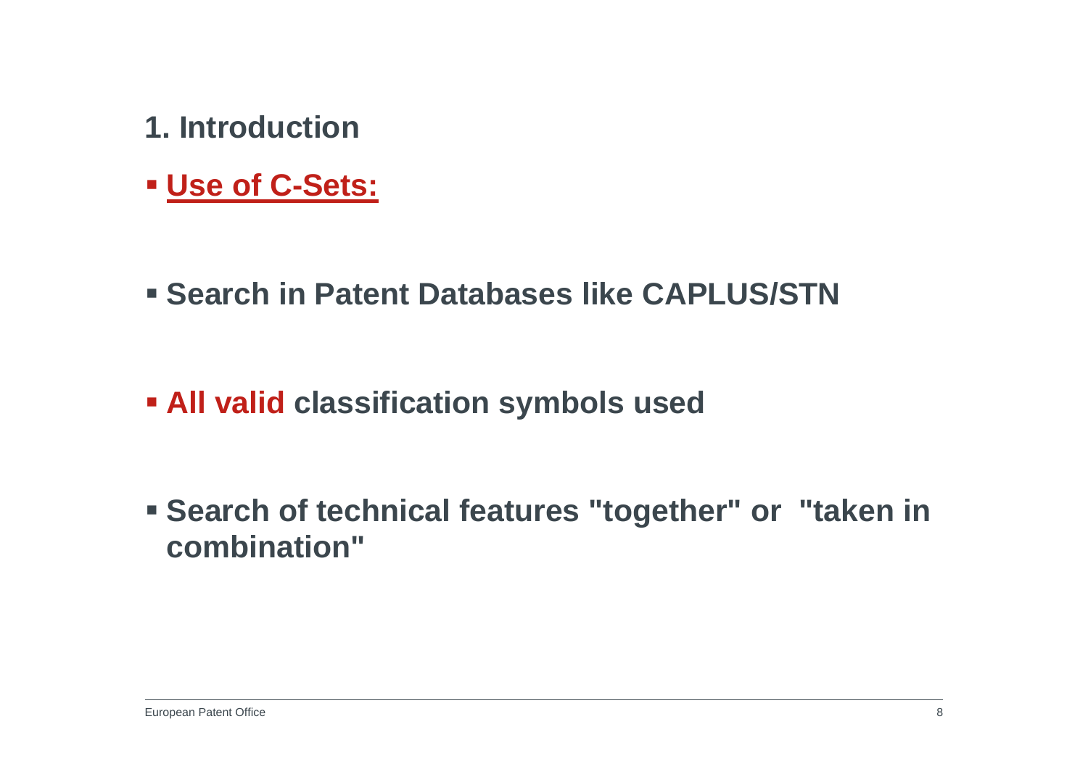- **1. Introduction**
- **Use of C-Sets:**
- **Example 2 Search in Patent Databases like CAPLUS/STN**
- **All valid classification symbols used**
- **Search of technical features "together" or "taken in combination"**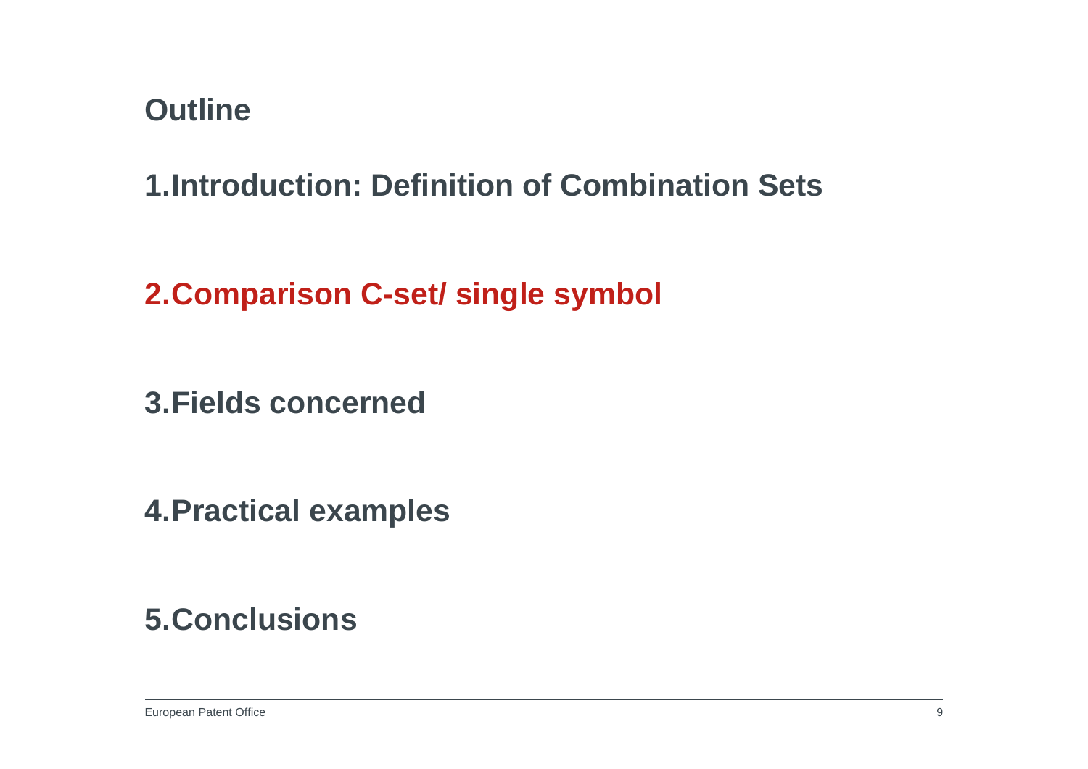**1.Introduction: Definition of Combination Sets**

**2.Comparison C-set/ single symbol**

**3.Fields concerned**

**4.Practical examples**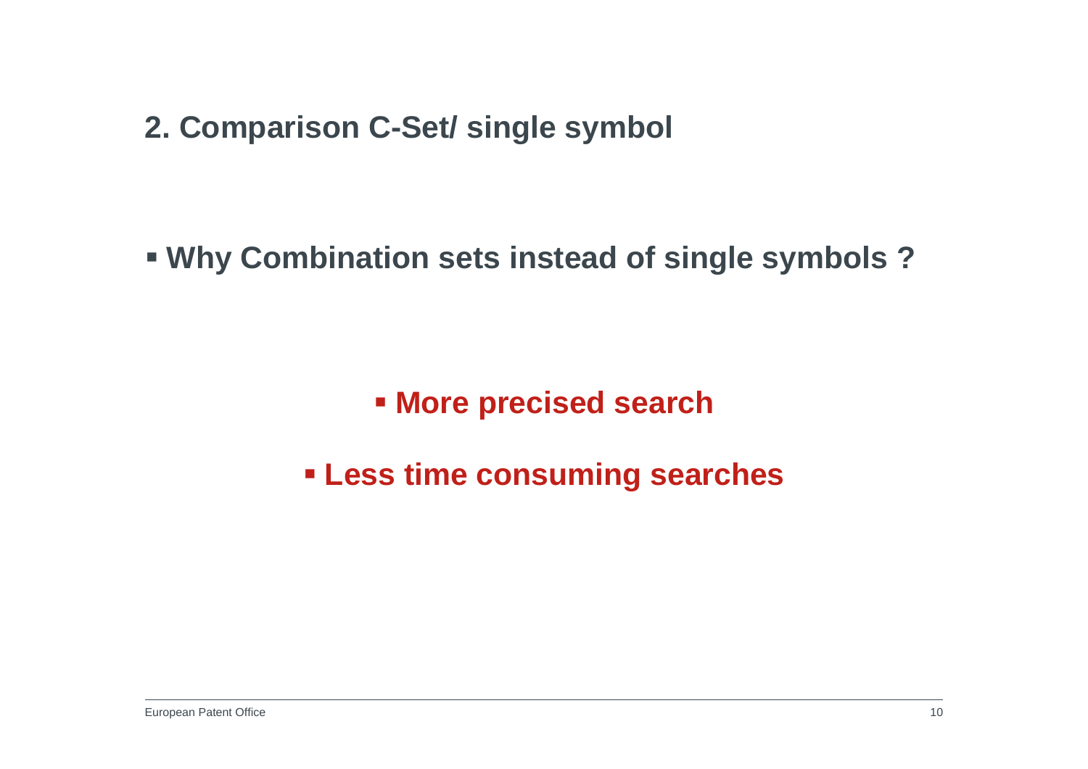**2. Comparison C-Set/ single symbol**

**Why Combination sets instead of single symbols ?**

**More precised search**

**Less time consuming searches**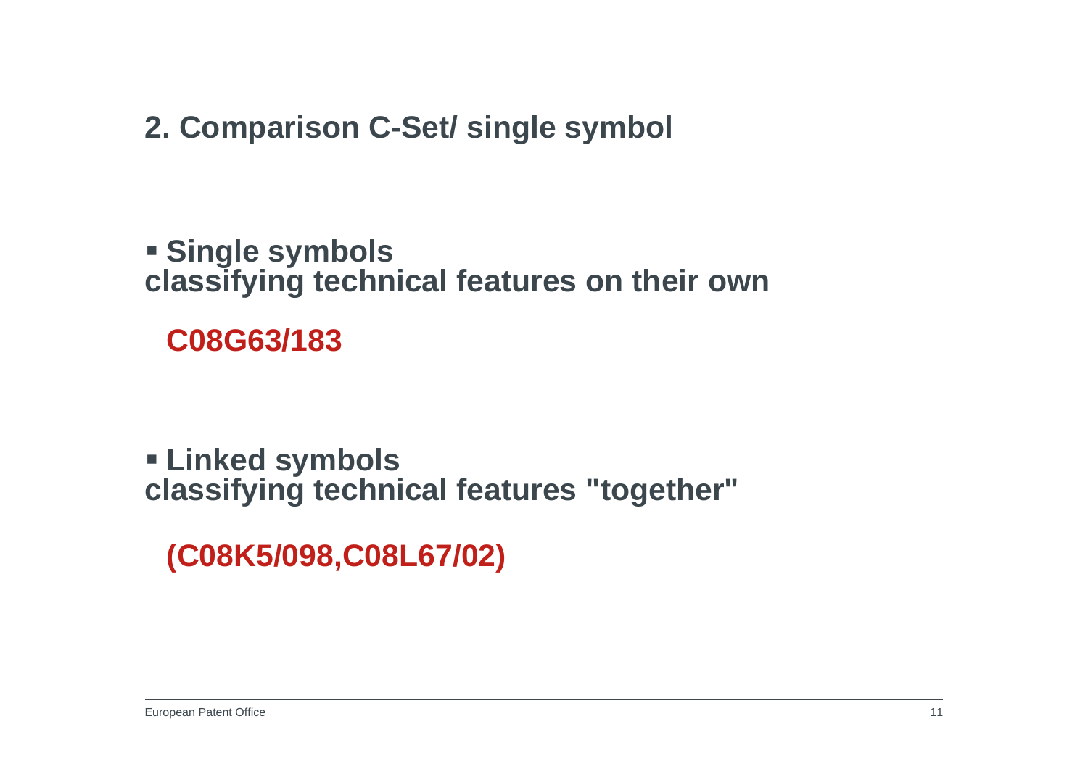**2. Comparison C-Set/ single symbol**

 **Single symbols classifying technical features on their own**

**C08G63/183**

 **Linked symbols classifying technical features "together"**

**(C08K5/098,C08L67/02)**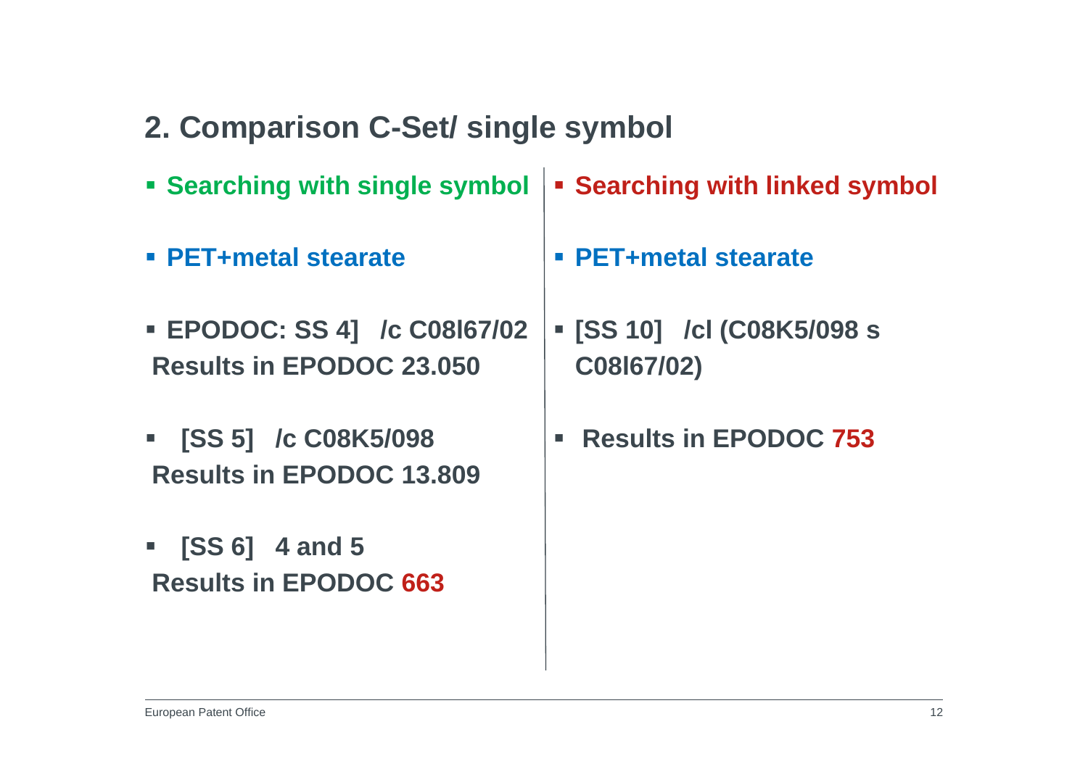- **2. Comparison C-Set/ single symbol**
- **Searching with single symbol Searching with linked symbol**
- **PET+metal stearate**
- **EPODOC: SS 4] /c C08l67/02 Results in EPODOC 23.050**
- $\blacksquare$  **[SS 5] /c C08K5/098 Results in EPODOC 13.809**
- $\blacksquare$  **[SS 6] 4 and 5 Results in EPODOC 663**
- **PET+metal stearate**
- **[SS 10] /cl (C08K5/098 s C08l67/02)**
- **Results in EPODOC 753**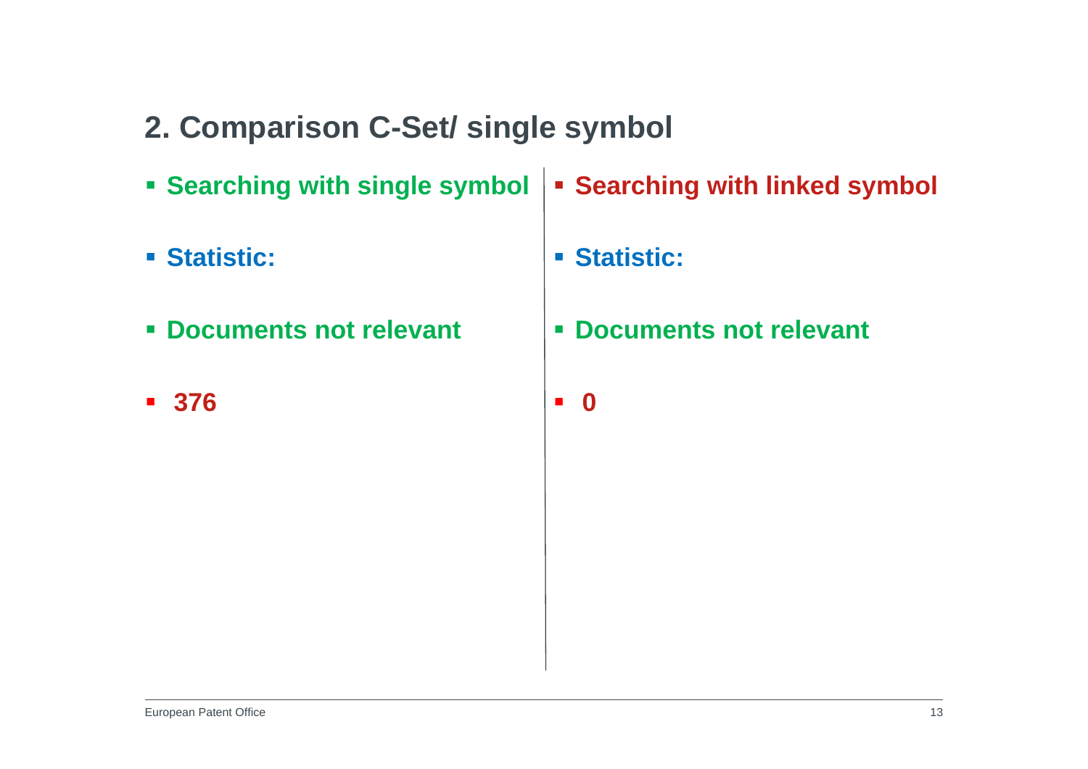- **2. Comparison C-Set/ single symbol**
- **Searching with single symbol Searching with linked symbol**
- **Statistic:**
- **Documents not relevant**
- **376**
- **Statistic:**
- **Documents not relevant**
- $\blacksquare$ **0**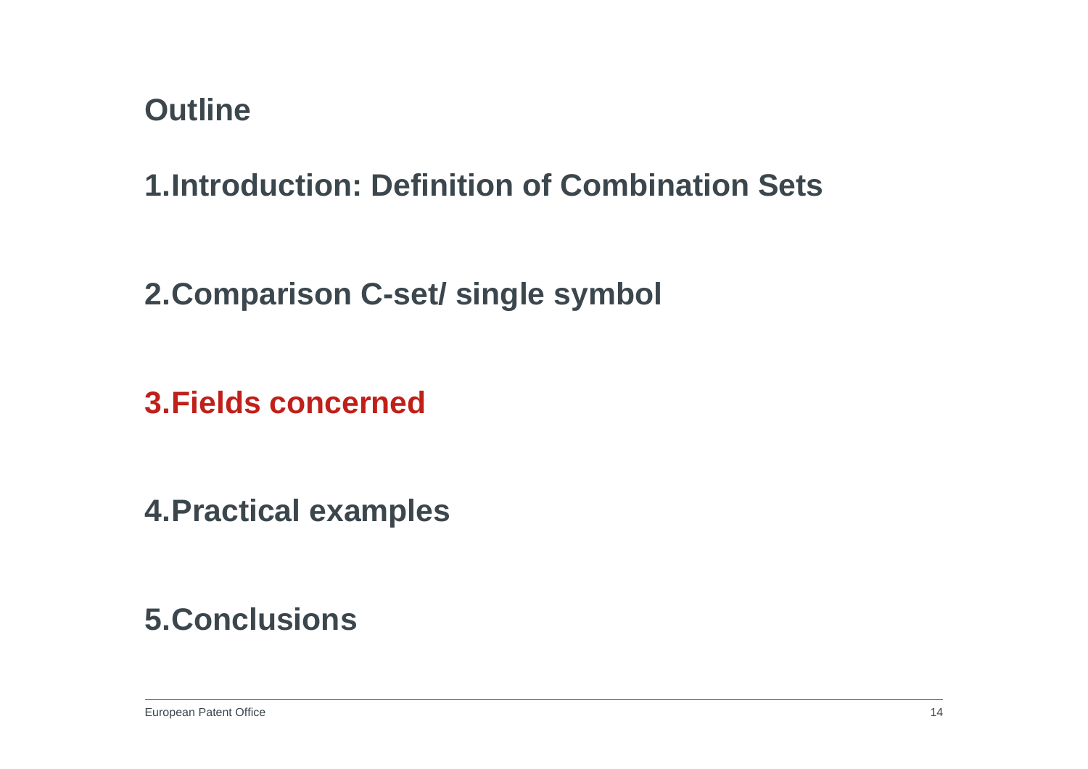**1.Introduction: Definition of Combination Sets**

**2.Comparison C-set/ single symbol**

**3.Fields concerned**

**4.Practical examples**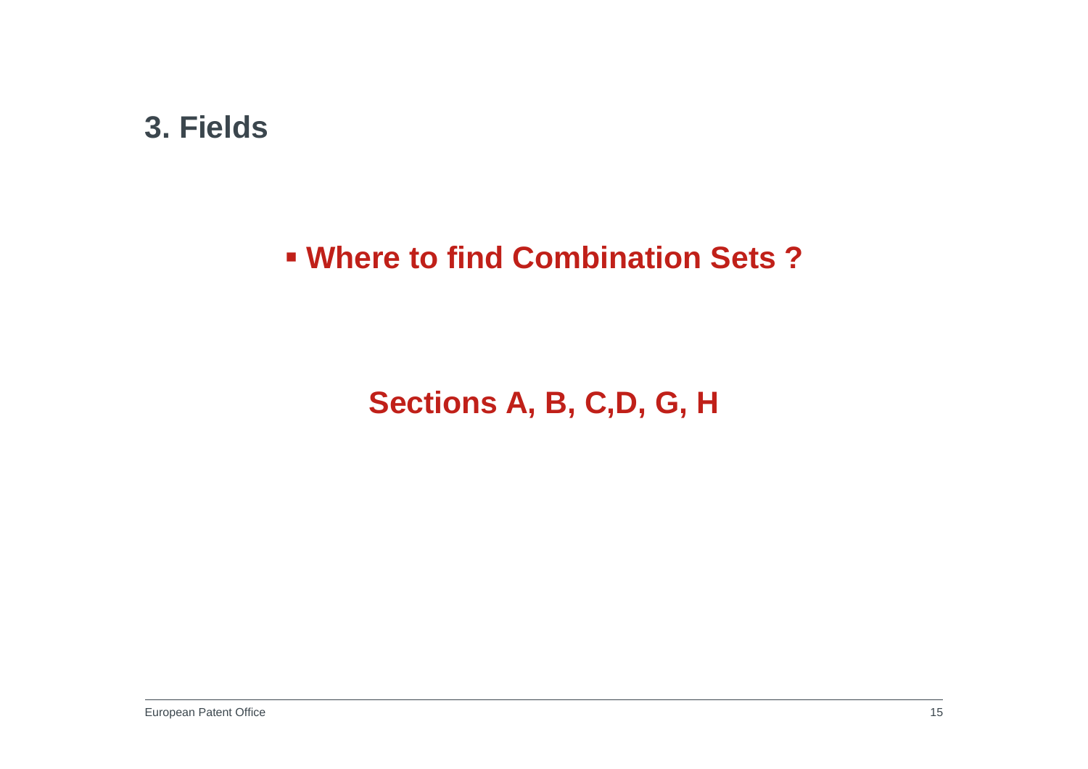#### **3. Fields**

### **Where to find Combination Sets ?**

# **Sections A, B, C,D, G, H**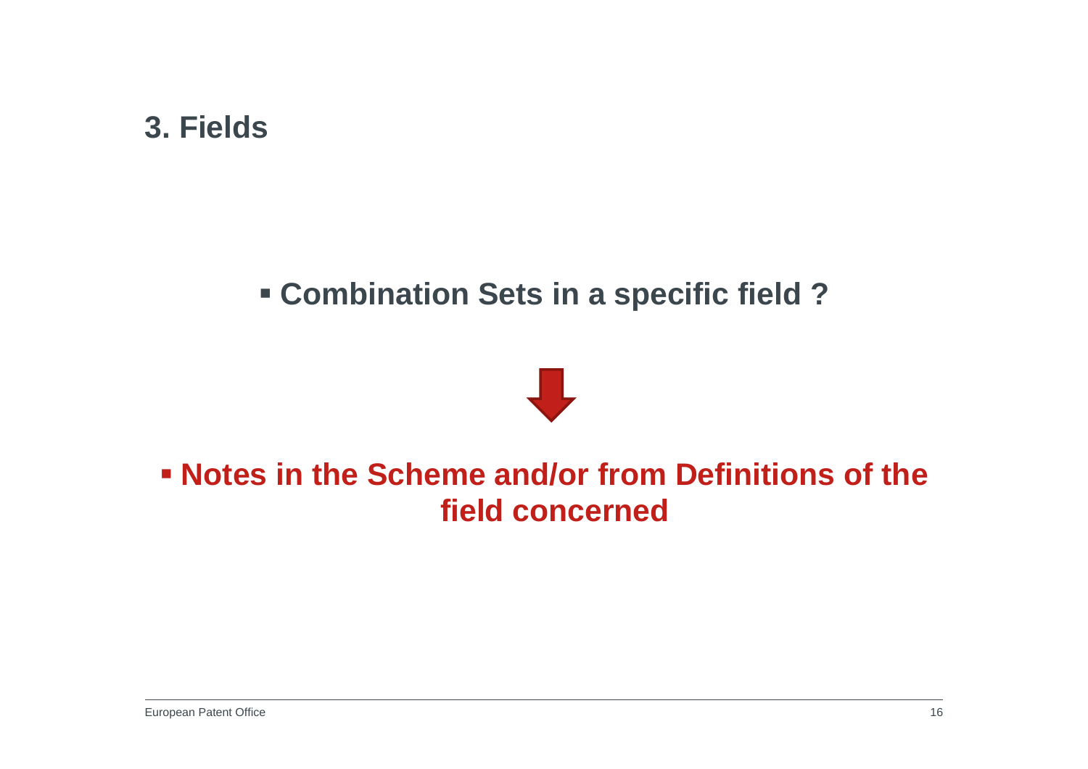#### **3. Fields**

### **Combination Sets in a specific field ?**



### **Notes in the Scheme and/or from Definitions of the field concerned**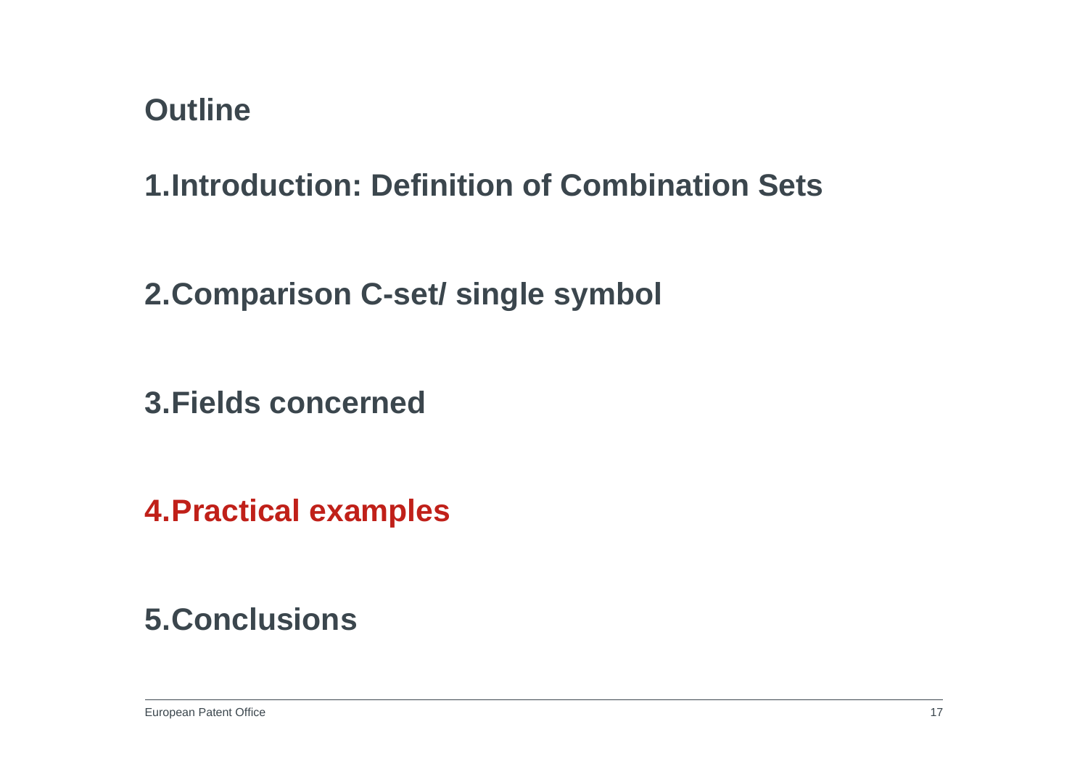**1.Introduction: Definition of Combination Sets**

**2.Comparison C-set/ single symbol**

**3.Fields concerned**

**4.Practical examples**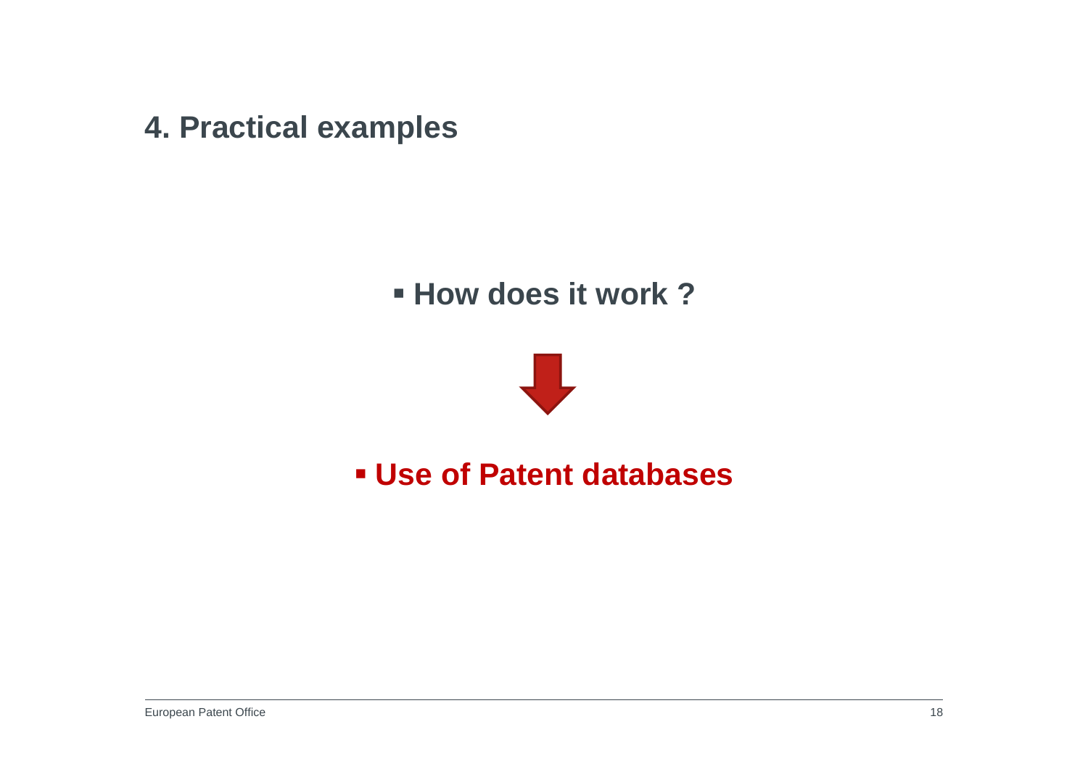**4. Practical examples**

### **How does it work?**



### **Use of Patent databases**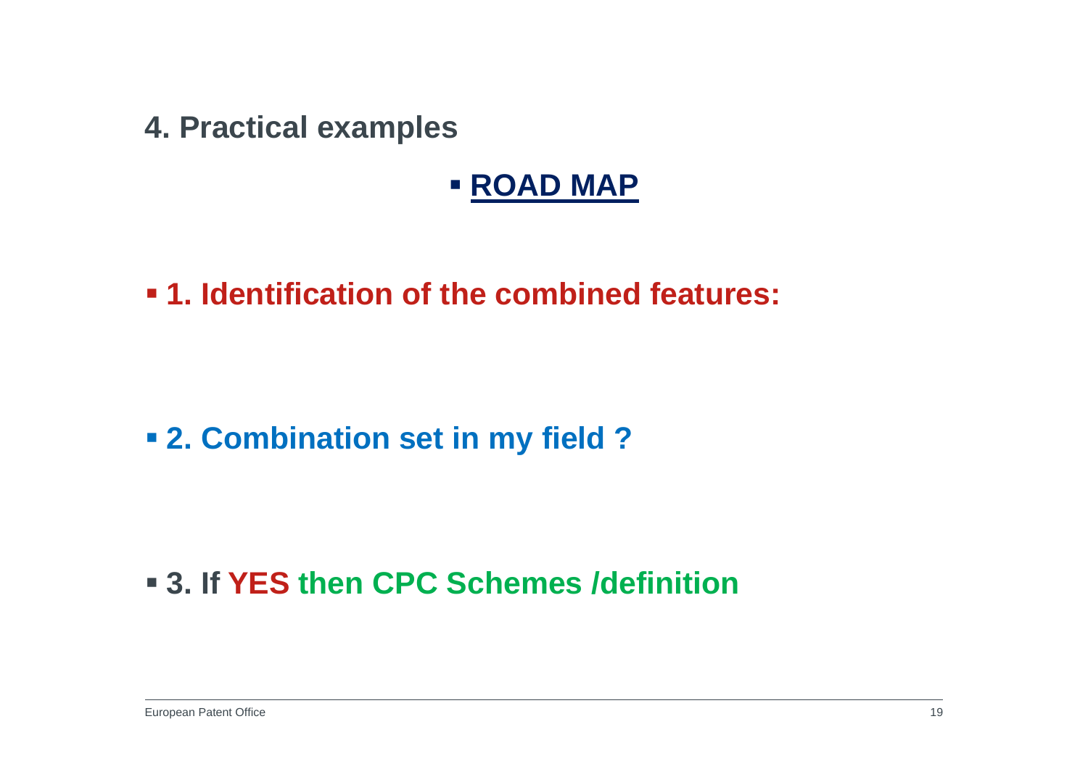**4. Practical examples**

### **ROAD MAP**

**1. Identification of the combined features:**

### **2. Combination set in my field ?**

## **3. If YES then CPC Schemes /definition**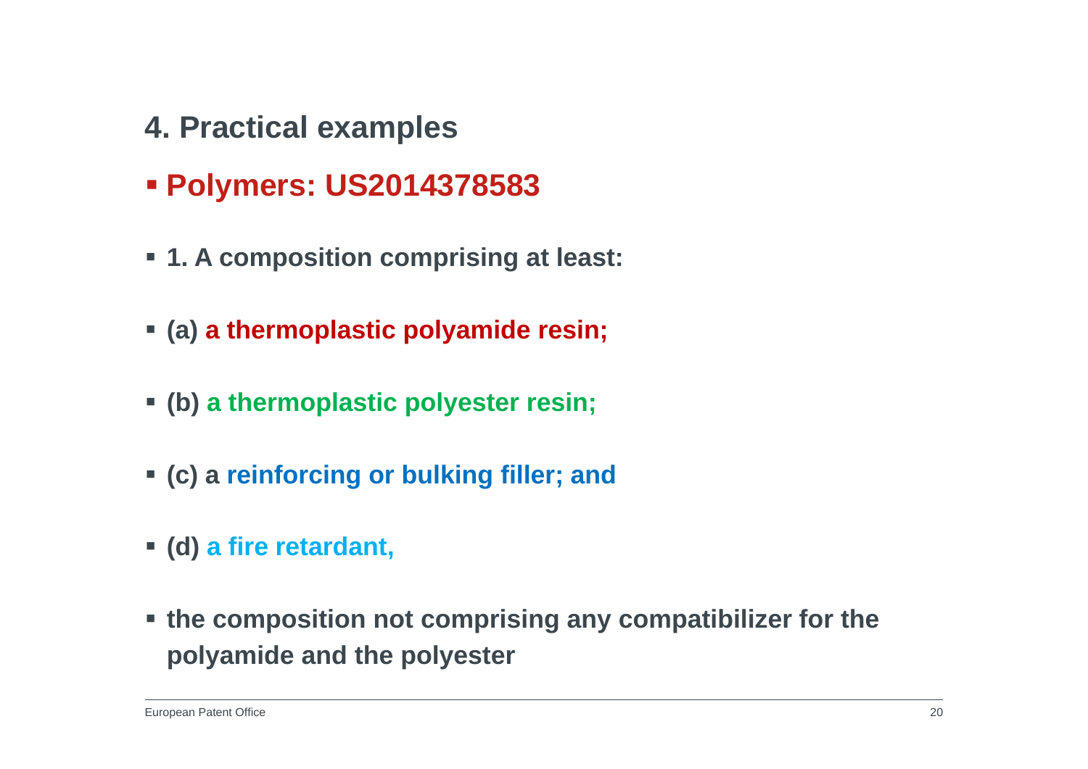- **4. Practical examples**
- **Polymers: US2014378583**
- **1. A composition comprising at least:**
- **(a) a thermoplastic polyamide resin;**
- **(b) a thermoplastic polyester resin;**
- **(c) a reinforcing or bulking filler; and**
- **(d) a fire retardant,**
- **the composition not comprising any compatibilizer for the polyamide and the polyester**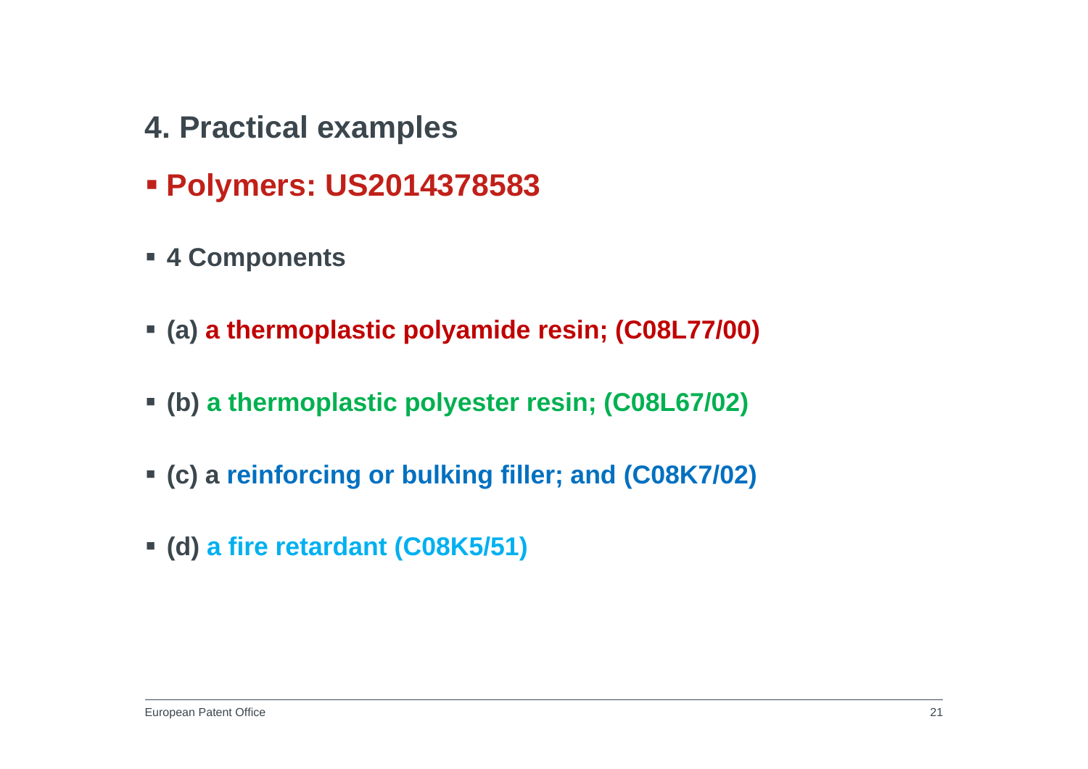- **4. Practical examples**
- **Polymers: US2014378583**
- **4 Components**
- **(a) a thermoplastic polyamide resin; (C08L77/00)**
- **(b) a thermoplastic polyester resin; (C08L67/02)**
- **(c) a reinforcing or bulking filler; and (C08K7/02)**
- **(d) a fire retardant (C08K5/51)**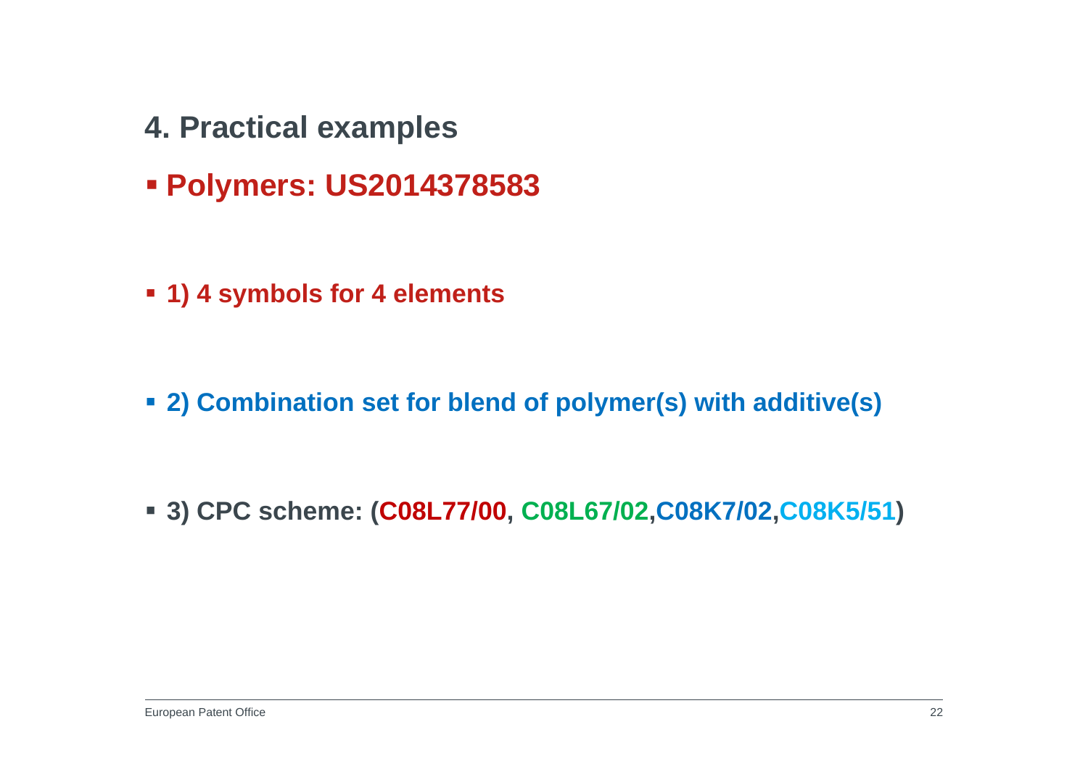- **4. Practical examples**
- **Polymers: US2014378583**
- **1) 4 symbols for 4 elements**

**2) Combination set for blend of polymer(s) with additive(s)**

**3) CPC scheme: (C08L77/00, C08L67/02,C08K7/02,C08K5/51)**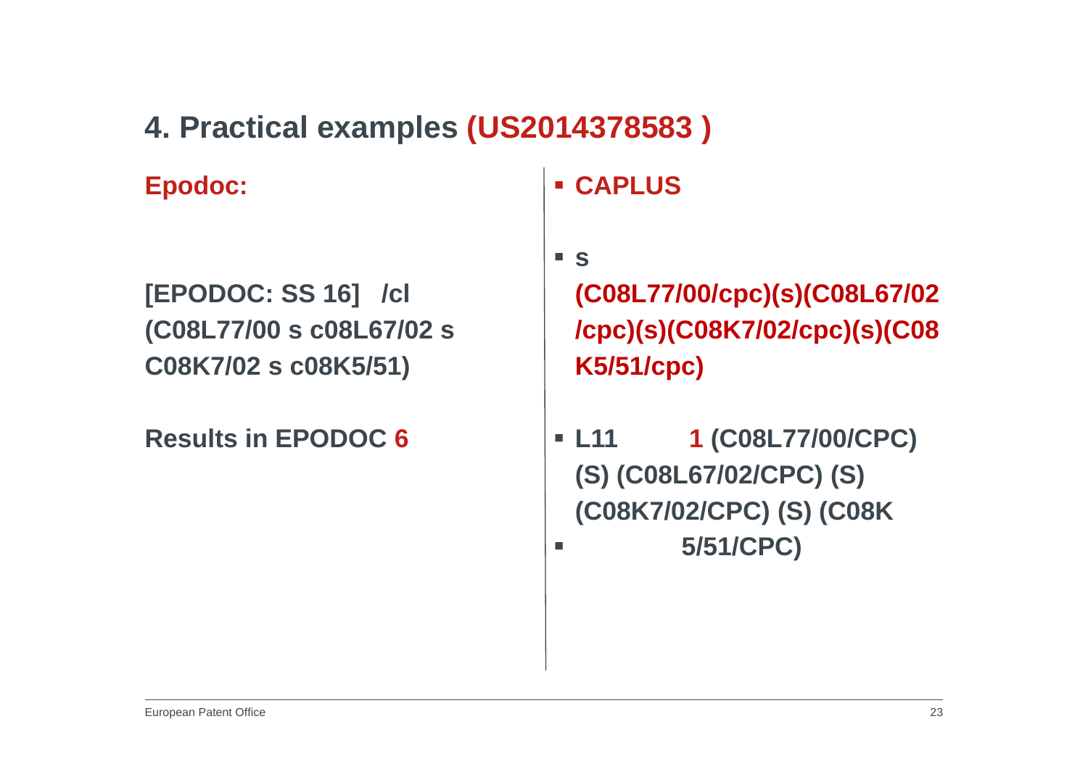### **4. Practical examples (US2014378583 )**

**Epodoc:**

**[EPODOC: SS 16] /cl (C08L77/00 s c08L67/02 s C08K7/02 s c08K5/51)**

**Results in EPODOC 6**

**CAPLUS**

**s** 

**(C08L77/00/cpc)(s)(C08L67/02 /cpc)(s)(C08K7/02/cpc)(s)(C08 K5/51/cpc)**

 **L11 1 (C08L77/00/CPC) (S) (C08L67/02/CPC) (S) (C08K7/02/CPC) (S) (C08K**  $\blacksquare$ **5/51/CPC)**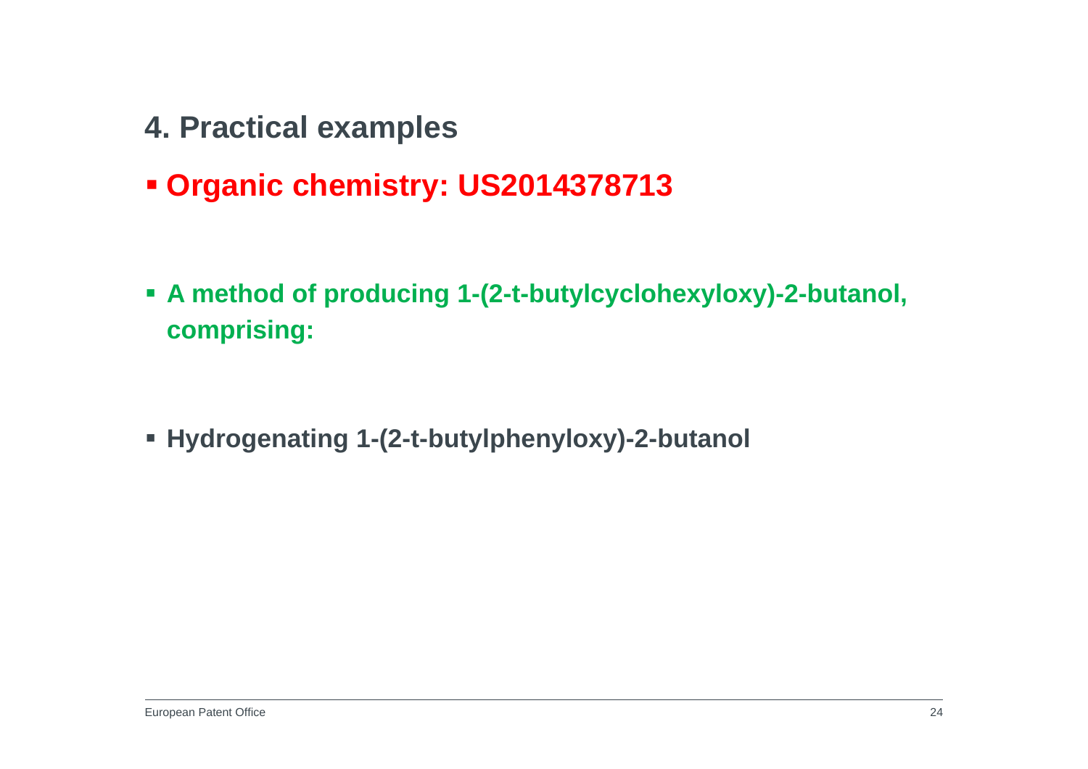- **4. Practical examples**
- **Organic chemistry: US2014378713**
- **A method of producing 1-(2-t-butylcyclohexyloxy)-2-butanol, comprising:**

**Hydrogenating 1-(2-t-butylphenyloxy)-2-butanol**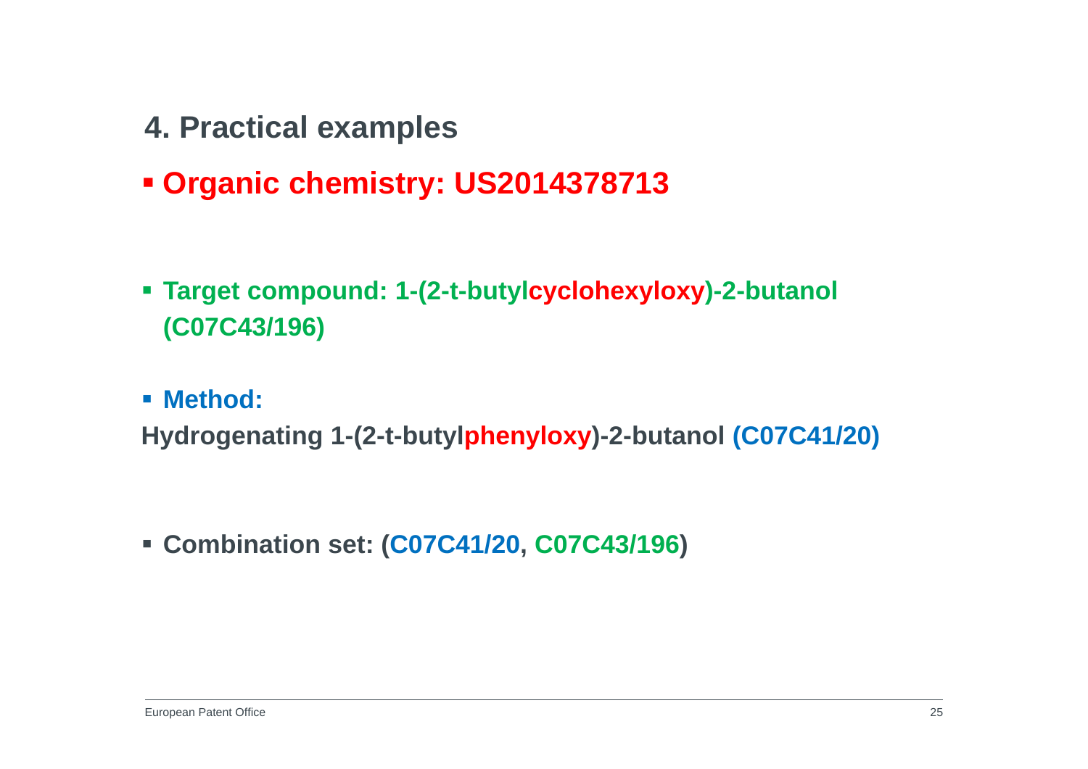- **4. Practical examples**
- **Organic chemistry: US2014378713**
- **Target compound: 1-(2-t-butylcyclohexyloxy)-2-butanol (C07C43/196)**
- **Method:**

**Hydrogenating 1-(2-t-butylphenyloxy)-2-butanol (C07C41/20)**

**Combination set: (C07C41/20, C07C43/196)**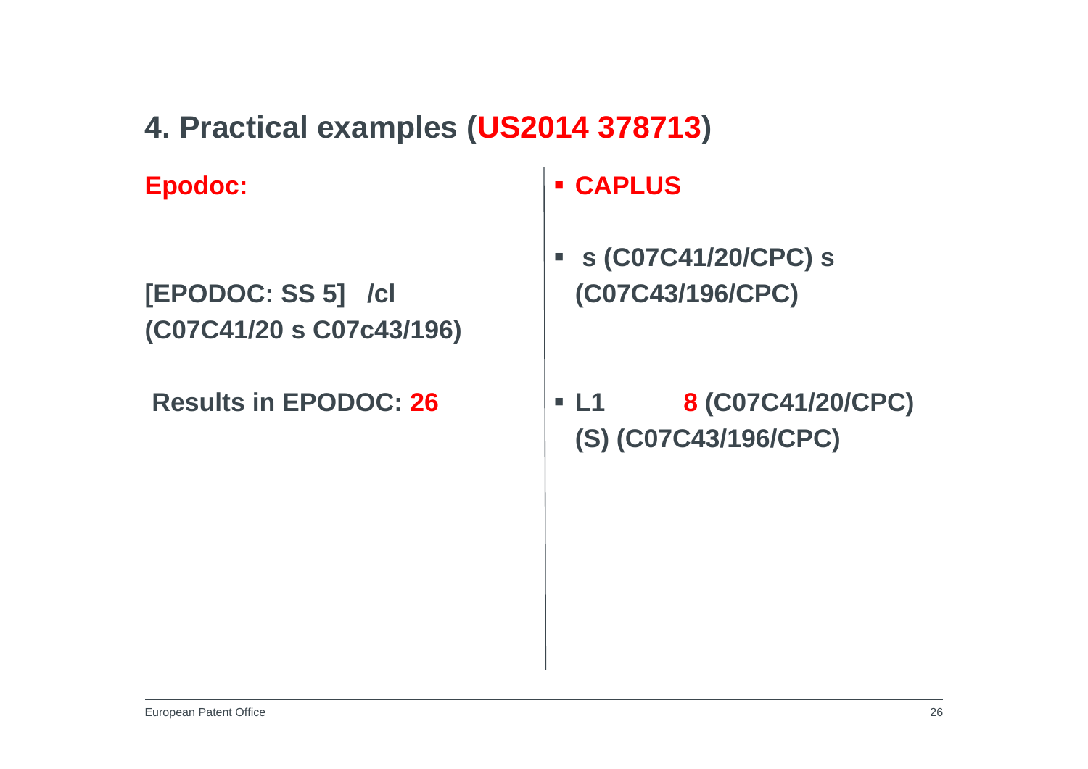**4. Practical examples (US2014 378713)**

**Epodoc:**

**[EPODOC: SS 5] /cl (C07C41/20 s C07c43/196)**

**Results in EPODOC: 26**

**CAPLUS**

 $\overline{\phantom{a}}$  **s (C07C41/20/CPC) s (C07C43/196/CPC)**

 **L1 8 (C07C41/20/CPC) (S) (C07C43/196/CPC)**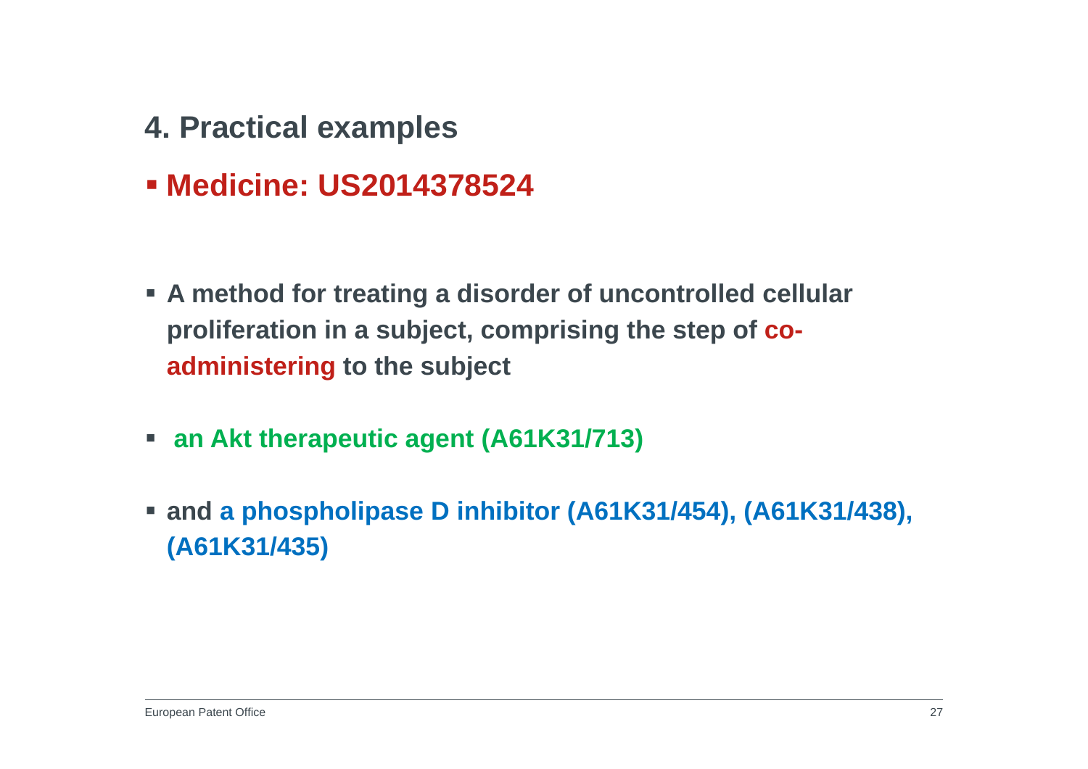- **4. Practical examples**
- **Medicine: US2014378524**

- **A method for treating a disorder of uncontrolled cellular proliferation in a subject, comprising the step of coadministering to the subject**
- **an Akt therapeutic agent (A61K31/713)**
- **and a phospholipase D inhibitor (A61K31/454), (A61K31/438), (A61K31/435)**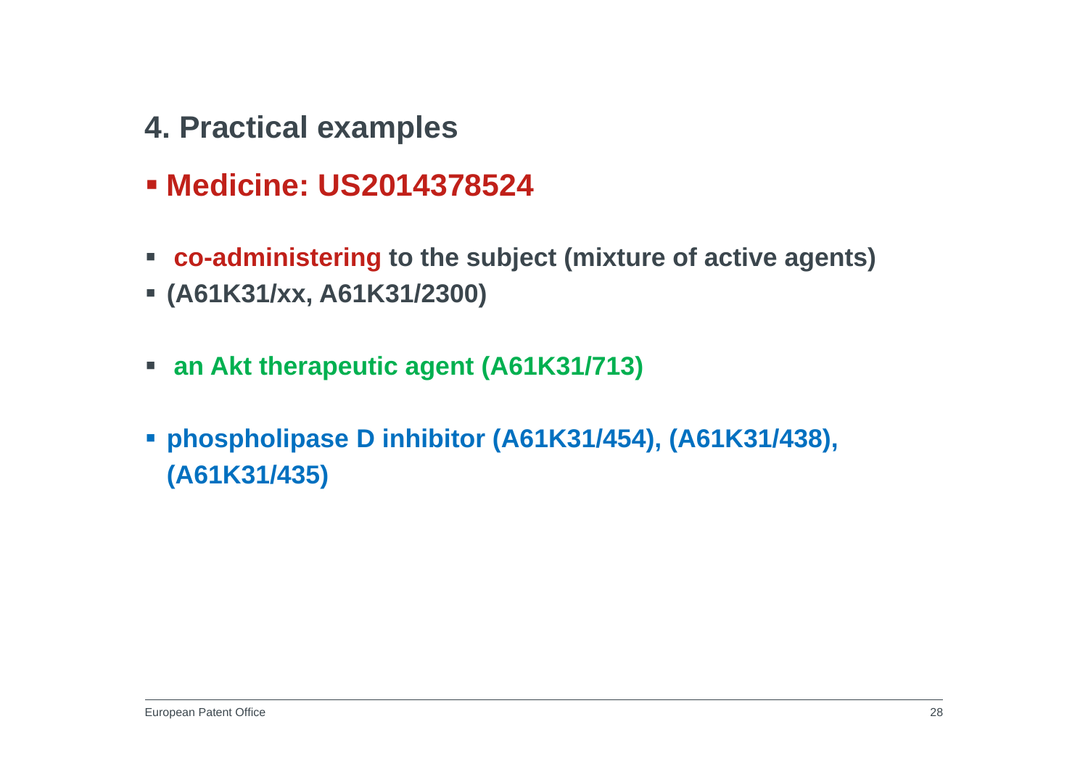- **4. Practical examples**
- **Medicine: US2014378524**
- **co-administering to the subject (mixture of active agents)**
- **(A61K31/xx, A61K31/2300)**
- **an Akt therapeutic agent (A61K31/713)**
- **phospholipase D inhibitor (A61K31/454), (A61K31/438), (A61K31/435)**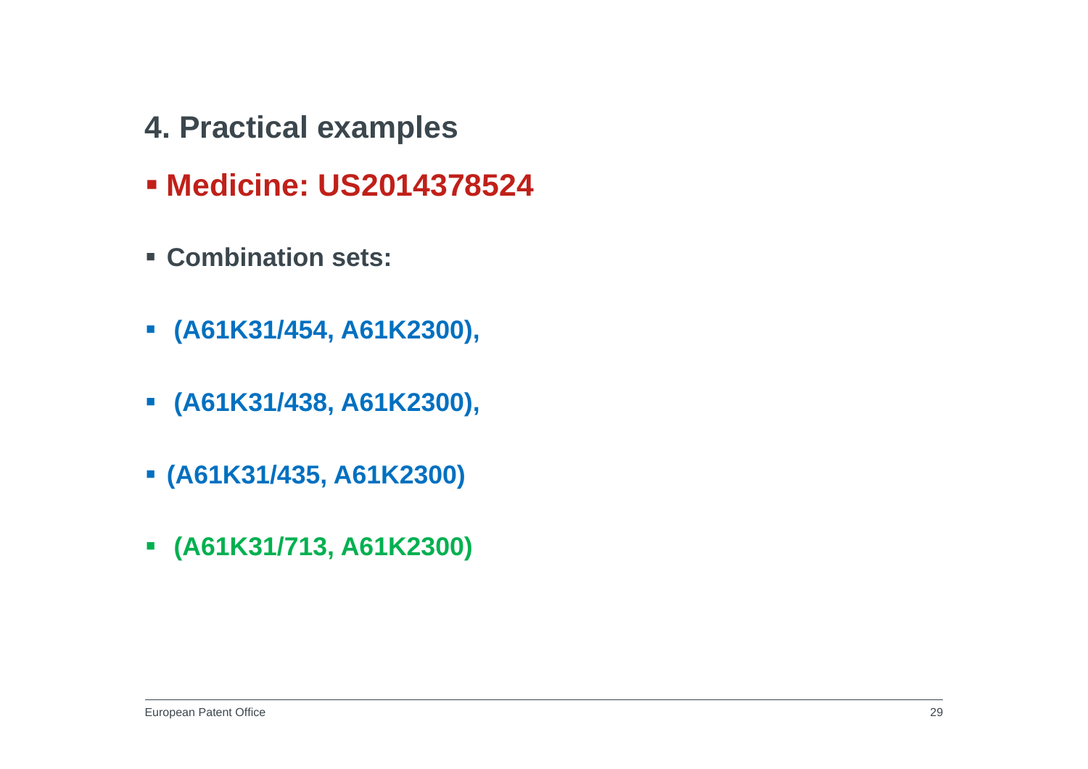- **4. Practical examples**
- **Medicine: US2014378524**
- **Combination sets:**
- **(A61K31/454, A61K2300),**
- **(A61K31/438, A61K2300),**
- **(A61K31/435, A61K2300)**
- **(A61K31/713, A61K2300)**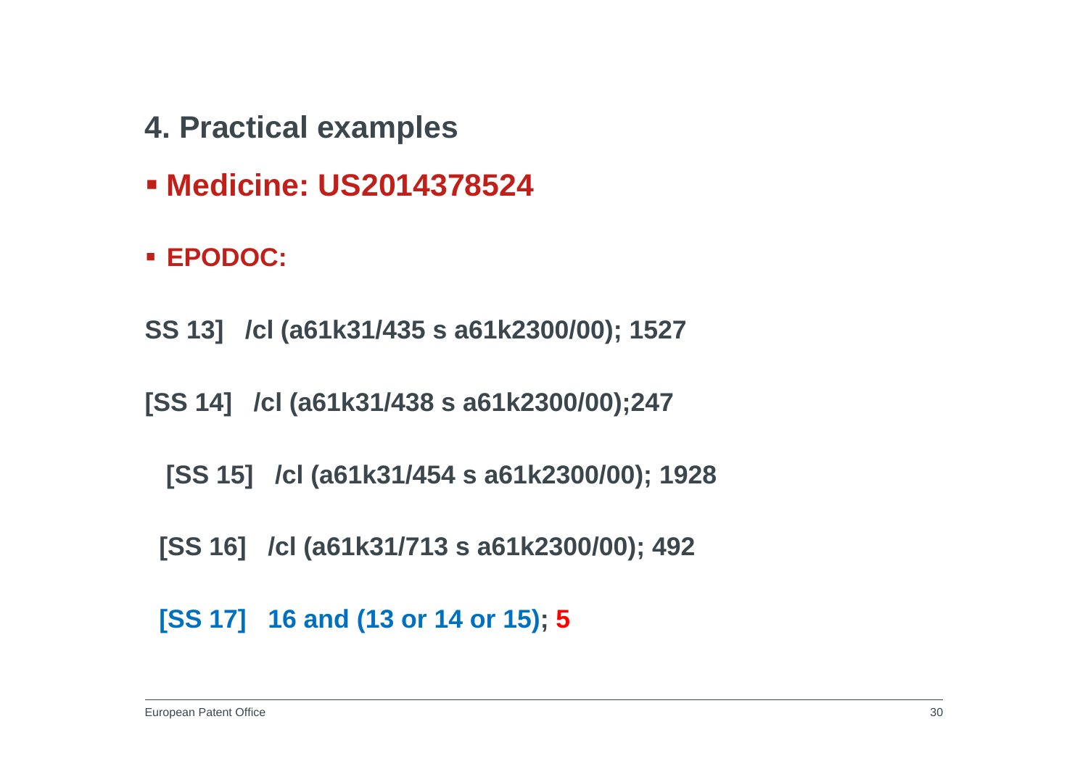- **4. Practical examples**
- **Medicine: US2014378524**
- **EPODOC:**
- **SS 13] /cl (a61k31/435 s a61k2300/00); 1527**
- **[SS 14] /cl (a61k31/438 s a61k2300/00);247**
	- **[SS 15] /cl (a61k31/454 s a61k2300/00); 1928**
	- **[SS 16] /cl (a61k31/713 s a61k2300/00); 492**
	- **[SS 17] 16 and (13 or 14 or 15); 5**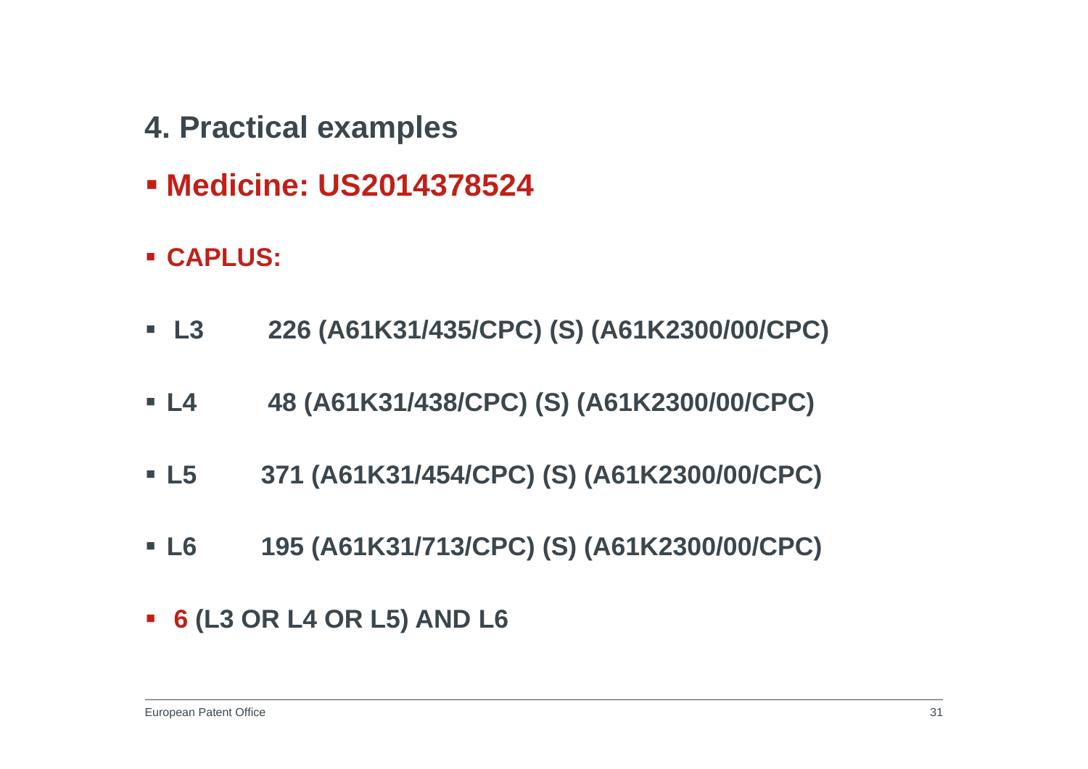- **4. Practical examples**
- **Medicine: US2014378524**
- **CAPLUS:**
- $\blacksquare$  L3 **L3 226 (A61K31/435/CPC) (S) (A61K2300/00/CPC)**
- $L4$ **L4 48 (A61K31/438/CPC) (S) (A61K2300/00/CPC)**
- $\blacksquare$  L5 **L5 371 (A61K31/454/CPC) (S) (A61K2300/00/CPC)**
- $\blacksquare$  L6 **L6 195 (A61K31/713/CPC) (S) (A61K2300/00/CPC)**
- **6 (L3 OR L4 OR L5) AND L6**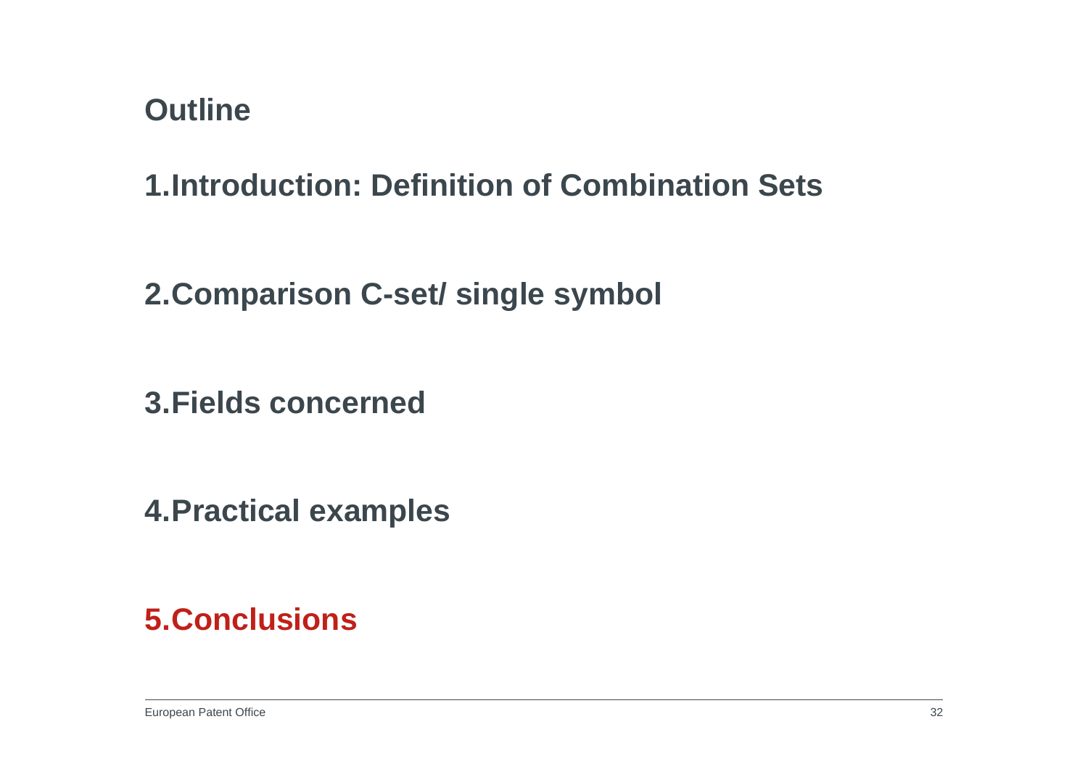**1.Introduction: Definition of Combination Sets**

**2.Comparison C-set/ single symbol**

**3.Fields concerned**

**4.Practical examples**